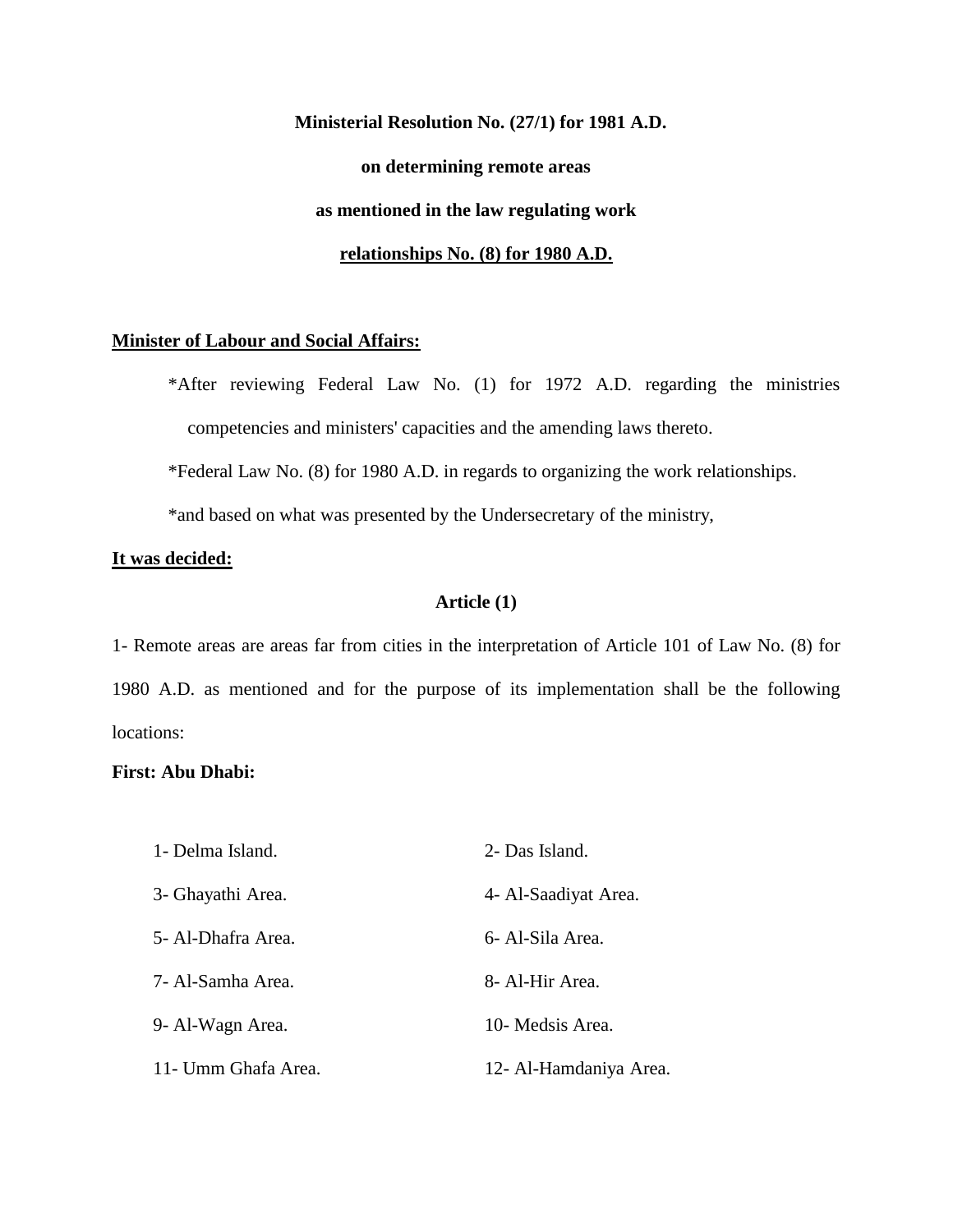**Ministerial Resolution No. (27/1) for 1981 A.D. on determining remote areas as mentioned in the law regulating work relationships No. (8) for 1980 A.D.**

#### **Minister of Labour and Social Affairs:**

\*After reviewing Federal Law No. (1) for 1972 A.D. regarding the ministries competencies and ministers' capacities and the amending laws thereto.

\*Federal Law No. (8) for 1980 A.D. in regards to organizing the work relationships.

\*and based on what was presented by the Undersecretary of the ministry,

### **It was decided:**

# **Article (1)**

1- Remote areas are areas far from cities in the interpretation of Article 101 of Law No. (8) for 1980 A.D. as mentioned and for the purpose of its implementation shall be the following locations:

### **First: Abu Dhabi:**

| 1 - Delma Island.   | 2- Das Island.         |
|---------------------|------------------------|
| 3- Ghayathi Area.   | 4- Al-Saadiyat Area.   |
| 5- Al-Dhafra Area.  | 6- Al-Sila Area.       |
| 7- Al-Samha Area.   | 8- Al-Hir Area.        |
| 9- Al-Wagn Area.    | 10- Medsis Area.       |
| 11- Umm Ghafa Area. | 12- Al-Hamdaniya Area. |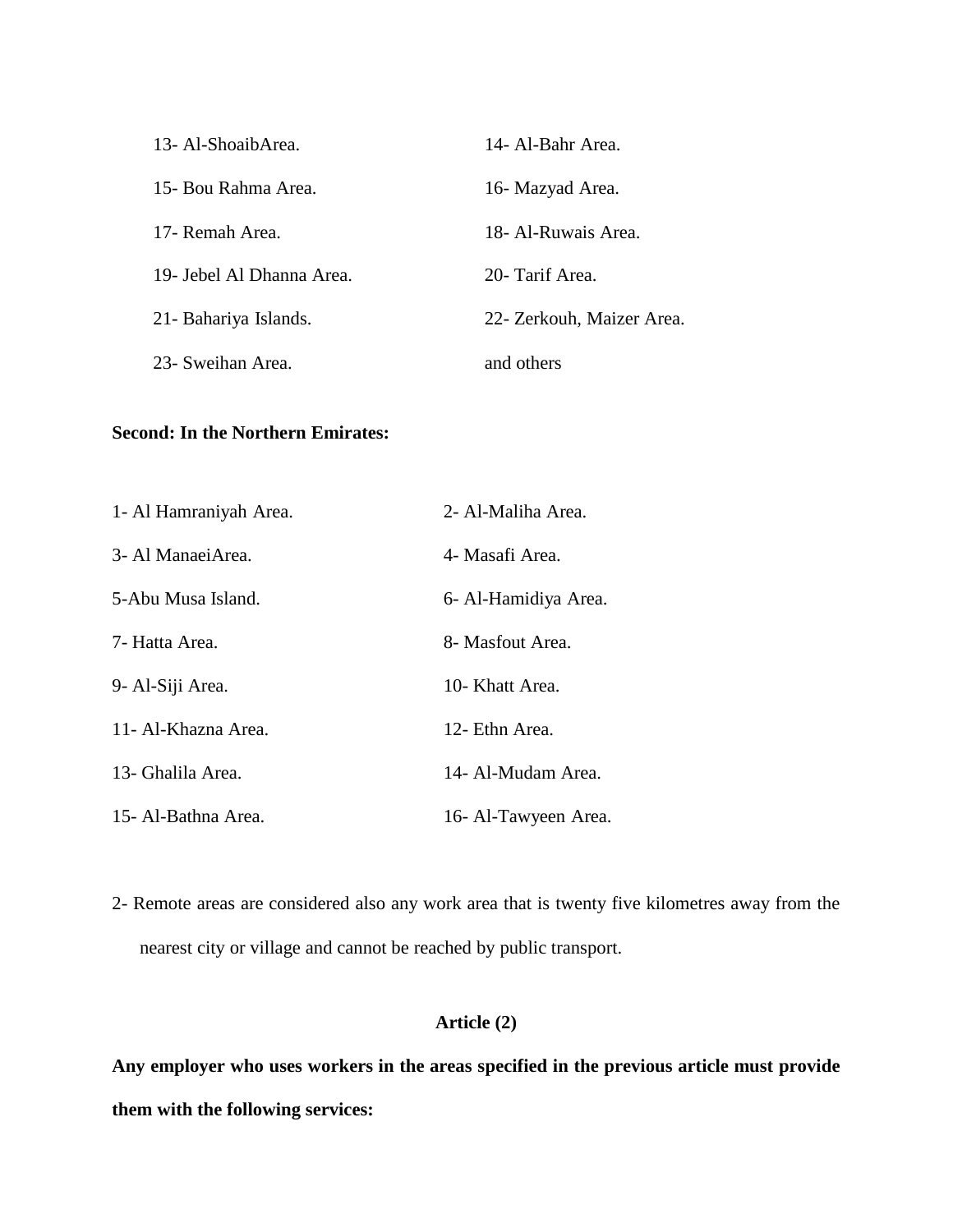| 13- Al-ShoaibArea.        | 14- Al-Bahr Area.         |
|---------------------------|---------------------------|
| 15- Bou Rahma Area.       | 16- Mazyad Area.          |
| 17- Remah Area.           | 18- Al-Ruwais Area.       |
| 19- Jebel Al Dhanna Area. | 20- Tarif Area            |
| 21- Bahariya Islands.     | 22- Zerkouh, Maizer Area. |
| 23- Sweihan Area.         | and others                |

# **Second: In the Northern Emirates:**

| 1- Al Hamraniyah Area. | 2- Al-Maliha Area.   |
|------------------------|----------------------|
| 3- Al ManaeiArea.      | 4- Masafi Area.      |
| 5-Abu Musa Island.     | 6- Al-Hamidiya Area. |
| 7- Hatta Area.         | 8- Masfout Area.     |
| 9- Al-Siji Area.       | 10- Khatt Area.      |
| 11 - Al-Khazna Area.   | 12- Ethn Area.       |
| 13- Ghalila Area.      | 14- Al-Mudam Area.   |
| 15- Al-Bathna Area.    | 16- Al-Tawyeen Area. |

2- Remote areas are considered also any work area that is twenty five kilometres away from the nearest city or village and cannot be reached by public transport.

# **Article (2)**

**Any employer who uses workers in the areas specified in the previous article must provide them with the following services:**